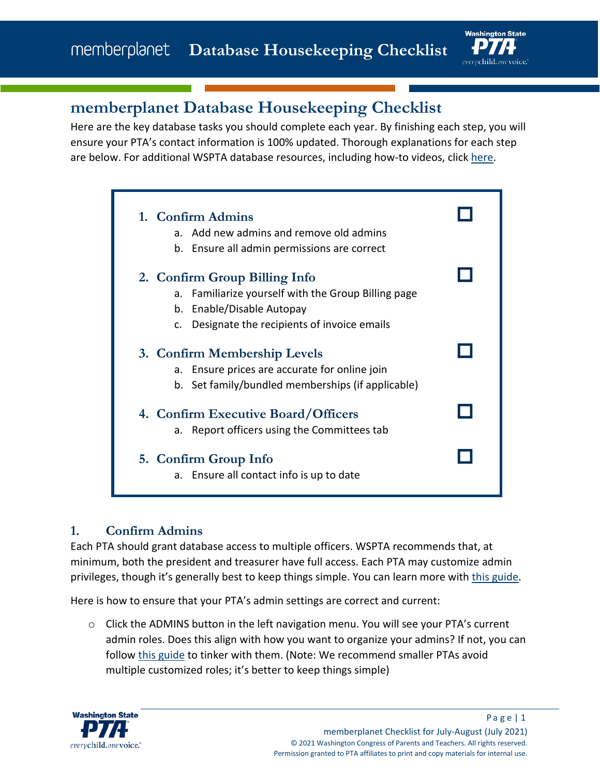

# **memberplanet Database Housekeeping Checklist**

Here are the key database tasks you should complete each year. By finishing each step, you will ensure your PTA's contact information is 100% updated. Thorough explanations for each step are below. For additional WSPTA database resources, including how-to videos, click [here.](https://www.wastatepta.org/pta-leaders/leader-resources/membership-database/)

| 1. Confirm Admins                                                                                                                     |  |
|---------------------------------------------------------------------------------------------------------------------------------------|--|
| Add new admins and remove old admins<br>а.                                                                                            |  |
| b. Ensure all admin permissions are correct                                                                                           |  |
| 2. Confirm Group Billing Info<br>Familiarize yourself with the Group Billing page<br>a.<br>b. Enable/Disable Autopay                  |  |
| Designate the recipients of invoice emails<br>$\mathsf{C}$ .                                                                          |  |
| 3. Confirm Membership Levels<br>Ensure prices are accurate for online join<br>а.<br>b. Set family/bundled memberships (if applicable) |  |
| 4. Confirm Executive Board/Officers<br>Report officers using the Committees tab<br>а.                                                 |  |
| 5. Confirm Group Info<br>a. Ensure all contact info is up to date                                                                     |  |

#### **1. Confirm Admins**

Each PTA should grant database access to multiple officers. WSPTA recommends that, at minimum, both the president and treasurer have full access. Each PTA may customize admin privileges, though it's generally best to keep things simple. You can learn more with [this guide.](http://wastatepta.memberplanet.com/admin-role-management.html)

Here is how to ensure that your PTA's admin settings are correct and current:

 $\circ$  Click the ADMINS button in the left navigation menu. You will see your PTA's current admin roles. Does this align with how you want to organize your admins? If not, you can follow [this guide](http://wastatepta.memberplanet.com/admin-role-management.html) to tinker with them. (Note: We recommend smaller PTAs avoid multiple customized roles; it's better to keep things simple)

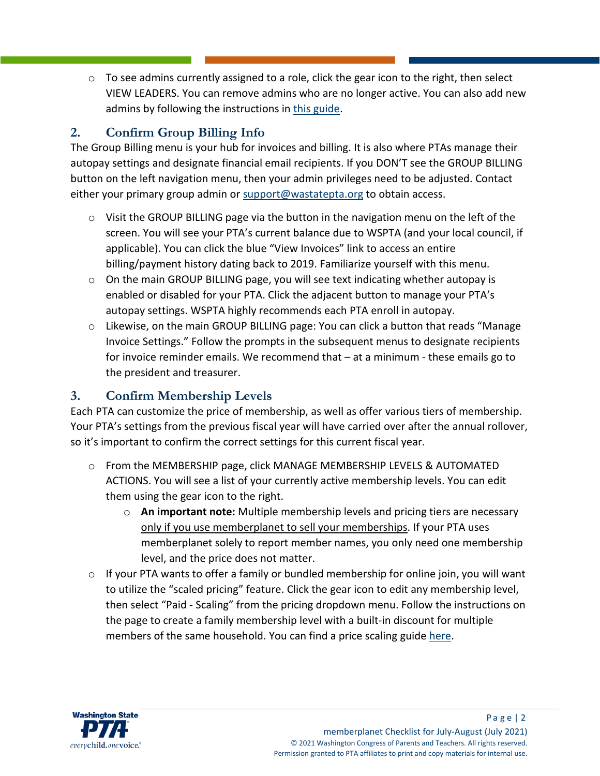$\circ$  To see admins currently assigned to a role, click the gear icon to the right, then select VIEW LEADERS. You can remove admins who are no longer active. You can also add new admins by following the instructions in [this guide.](http://wastatepta.memberplanet.com/admin-role-management.html)

## **2. Confirm Group Billing Info**

The Group Billing menu is your hub for invoices and billing. It is also where PTAs manage their autopay settings and designate financial email recipients. If you DON'T see the GROUP BILLING button on the left navigation menu, then your admin privileges need to be adjusted. Contact either your primary group admin or [support@wastatepta.org](mailto:support@wastatepta.org) to obtain access.

- $\circ$  Visit the GROUP BILLING page via the button in the navigation menu on the left of the screen. You will see your PTA's current balance due to WSPTA (and your local council, if applicable). You can click the blue "View Invoices" link to access an entire billing/payment history dating back to 2019. Familiarize yourself with this menu.
- $\circ$  On the main GROUP BILLING page, you will see text indicating whether autopay is enabled or disabled for your PTA. Click the adjacent button to manage your PTA's autopay settings. WSPTA highly recommends each PTA enroll in autopay.
- $\circ$  Likewise, on the main GROUP BILLING page: You can click a button that reads "Manage Invoice Settings." Follow the prompts in the subsequent menus to designate recipients for invoice reminder emails. We recommend that – at a minimum - these emails go to the president and treasurer.

### **3. Confirm Membership Levels**

Each PTA can customize the price of membership, as well as offer various tiers of membership. Your PTA's settings from the previous fiscal year will have carried over after the annual rollover, so it's important to confirm the correct settings for this current fiscal year.

- $\circ$  From the MEMBERSHIP page, click MANAGE MEMBERSHIP LEVELS & AUTOMATED ACTIONS. You will see a list of your currently active membership levels. You can edit them using the gear icon to the right.
	- o **An important note:** Multiple membership levels and pricing tiers are necessary only if you use memberplanet to sell your memberships. If your PTA uses memberplanet solely to report member names, you only need one membership level, and the price does not matter.
- $\circ$  If your PTA wants to offer a family or bundled membership for online join, you will want to utilize the "scaled pricing" feature. Click the gear icon to edit any membership level, then select "Paid - Scaling" from the pricing dropdown menu. Follow the instructions on the page to create a family membership level with a built-in discount for multiple members of the same household. You can find a price scaling guide [here.](http://wastatepta.memberplanet.com/membership.html)